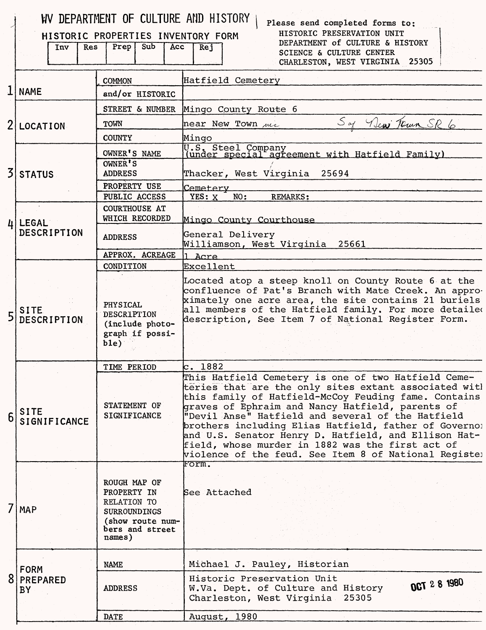|   | Inv<br><b>Res</b>           | WV DEPARTMENT OF CULTURE AND HISTORY<br>HISTORIC PROPERTIES INVENTORY FORM<br>Prep<br>Sub<br>Acc                   | Please send completed forms to:<br>HISTORIC PRESERVATION UNIT<br>DEPARTMENT of CULTURE & HISTORY<br>Rej<br>SCIENCE & CULTURE CENTER<br>CHARLESTON, WEST VIRGINIA 25305                                                                                                                                                                                                                                                                                                                                      |
|---|-----------------------------|--------------------------------------------------------------------------------------------------------------------|-------------------------------------------------------------------------------------------------------------------------------------------------------------------------------------------------------------------------------------------------------------------------------------------------------------------------------------------------------------------------------------------------------------------------------------------------------------------------------------------------------------|
|   |                             | <b>COMMON</b>                                                                                                      | Hatfield Cemetery                                                                                                                                                                                                                                                                                                                                                                                                                                                                                           |
|   | <b>NAME</b>                 | and/or HISTORIC                                                                                                    |                                                                                                                                                                                                                                                                                                                                                                                                                                                                                                             |
|   |                             | STREET & NUMBER                                                                                                    | Mingo County Route 6                                                                                                                                                                                                                                                                                                                                                                                                                                                                                        |
| 2 | <b>LOCATION</b>             | TOWN                                                                                                               | Sof New Town SR 6<br>near New Town me                                                                                                                                                                                                                                                                                                                                                                                                                                                                       |
|   |                             | <b>COUNTY</b>                                                                                                      | Mingo                                                                                                                                                                                                                                                                                                                                                                                                                                                                                                       |
|   |                             | OWNER'S NAME                                                                                                       | U.S. Steel Company<br>(under special agreement with Hatfield Family)                                                                                                                                                                                                                                                                                                                                                                                                                                        |
| 3 | <b>STATUS</b>               | OWNER'S                                                                                                            |                                                                                                                                                                                                                                                                                                                                                                                                                                                                                                             |
|   |                             | <b>ADDRESS</b><br>PROPERTY USE                                                                                     | Thacker, West Virginia<br>25694                                                                                                                                                                                                                                                                                                                                                                                                                                                                             |
|   |                             | PUBLIC ACCESS                                                                                                      | Cemetery<br>NO:<br><b>REMARKS:</b><br>YES: X                                                                                                                                                                                                                                                                                                                                                                                                                                                                |
|   | $\mu$   LEGAL               | <b>COURTHOUSE AT</b><br>WHICH RECORDED                                                                             | Mingo County Courthouse                                                                                                                                                                                                                                                                                                                                                                                                                                                                                     |
|   | DESCRIPTION                 | <b>ADDRESS</b>                                                                                                     | General Delivery<br>Williamson, West Virginia 25661                                                                                                                                                                                                                                                                                                                                                                                                                                                         |
|   |                             | APPROX. ACREAGE                                                                                                    | Acre                                                                                                                                                                                                                                                                                                                                                                                                                                                                                                        |
|   |                             | CONDITION                                                                                                          | <b>Excellent</b>                                                                                                                                                                                                                                                                                                                                                                                                                                                                                            |
| 5 | <b>SITE</b><br>DESCRIPTION  | PHYSICAL<br>DESCRIPTION<br>(include photo-<br>graph if possi-<br>b1e)                                              | Located atop a steep knoll on County Route 6 at the<br>confluence of Pat's Branch with Mate Creek. An appro-<br>ximately one acre area, the site contains 21 buriels<br>all members of the Hatfield family. For more detailed<br>description, See Item 7 of National Register Form.                                                                                                                                                                                                                         |
|   |                             | TIME PERIOD                                                                                                        | lc. 1882                                                                                                                                                                                                                                                                                                                                                                                                                                                                                                    |
| 6 | <b>SITE</b><br>SIGNIFICANCE | STATEMENT OF<br><b>SIGNIFICANCE</b>                                                                                | This Hatfield Cemetery is one of two Hatfield Ceme-<br>teries that are the only sites extant associated with<br>this family of Hatfield-McCoy Feuding fame. Contains<br>graves of Ephraim and Nancy Hatfield, parents of<br>"Devil Anse" Hatfield and several of the Hatfield<br>brothers including Elias Hatfield, father of Governo:<br>and U.S. Senator Henry D. Hatfield, and Ellison Hat-<br>field, whose murder in 1882 was the first act of<br>violence of the feud. See Item 8 of National Registe: |
|   | $7$ $MAP$                   | ROUGH MAP OF<br>PROPERTY IN<br>RELATION TO<br><b>SURROUNDINGS</b><br>(show route num-<br>bers and street<br>names) | Form.<br>See Attached                                                                                                                                                                                                                                                                                                                                                                                                                                                                                       |
|   | <b>FORM</b>                 | <b>NAME</b>                                                                                                        | Michael J. Pauley, Historian                                                                                                                                                                                                                                                                                                                                                                                                                                                                                |
|   | PREPARED<br><b>BY</b>       | <b>ADDRESS</b>                                                                                                     | Historic Preservation Unit<br>OCT 2 8 1980<br>W.Va. Dept. of Culture and History<br>Charleston, West Virginia 25305                                                                                                                                                                                                                                                                                                                                                                                         |
|   |                             | <b>DATE</b>                                                                                                        | August, 1980                                                                                                                                                                                                                                                                                                                                                                                                                                                                                                |